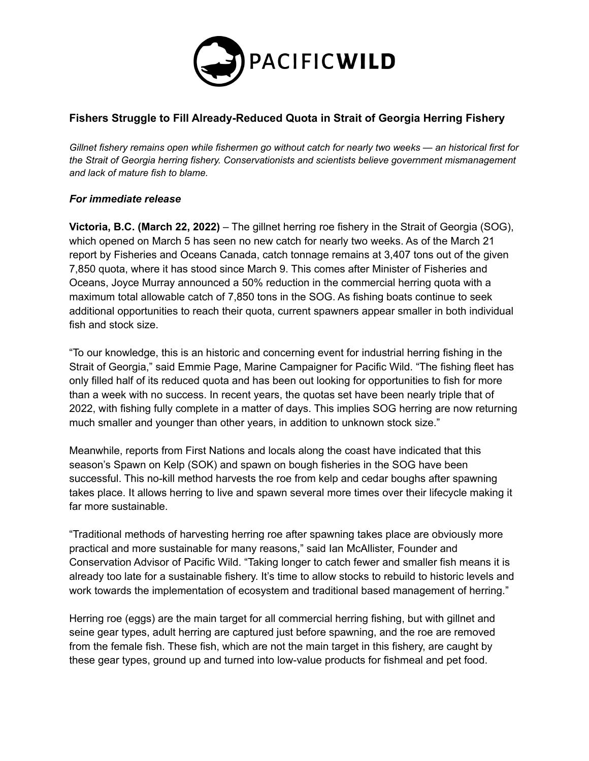

## **Fishers Struggle to Fill Already-Reduced Quota in Strait of Georgia Herring Fishery**

Gillnet fishery remains open while fishermen go without catch for nearly two weeks - an historical first for *the Strait of Georgia herring fishery. Conservationists and scientists believe government mismanagement and lack of mature fish to blame.*

## *For immediate release*

**Victoria, B.C. (March 22, 2022)** – The gillnet herring roe fishery in the Strait of Georgia (SOG), which opened on March 5 has seen no new catch for nearly two weeks. As of the March 21 report by Fisheries and Oceans Canada, catch tonnage remains at 3,407 tons out of the given 7,850 quota, where it has stood since March 9. This comes after Minister of Fisheries and Oceans, Joyce Murray announced a 50% reduction in the commercial herring quota with a maximum total allowable catch of 7,850 tons in the SOG. As fishing boats continue to seek additional opportunities to reach their quota, current spawners appear smaller in both individual fish and stock size.

"To our knowledge, this is an historic and concerning event for industrial herring fishing in the Strait of Georgia," said Emmie Page, Marine Campaigner for Pacific Wild. "The fishing fleet has only filled half of its reduced quota and has been out looking for opportunities to fish for more than a week with no success. In recent years, the quotas set have been nearly triple that of 2022, with fishing fully complete in a matter of days. This implies SOG herring are now returning much smaller and younger than other years, in addition to unknown stock size."

Meanwhile, reports from First Nations and locals along the coast have indicated that this season's Spawn on Kelp (SOK) and spawn on bough fisheries in the SOG have been successful. This no-kill method harvests the roe from kelp and cedar boughs after spawning takes place. It allows herring to live and spawn several more times over their lifecycle making it far more sustainable.

"Traditional methods of harvesting herring roe after spawning takes place are obviously more practical and more sustainable for many reasons," said Ian McAllister, Founder and Conservation Advisor of Pacific Wild. "Taking longer to catch fewer and smaller fish means it is already too late for a sustainable fishery. It's time to allow stocks to rebuild to historic levels and work towards the implementation of ecosystem and traditional based management of herring."

Herring roe (eggs) are the main target for all commercial herring fishing, but with gillnet and seine gear types, adult herring are captured just before spawning, and the roe are removed from the female fish. These fish, which are not the main target in this fishery, are caught by these gear types, ground up and turned into low-value products for fishmeal and pet food.